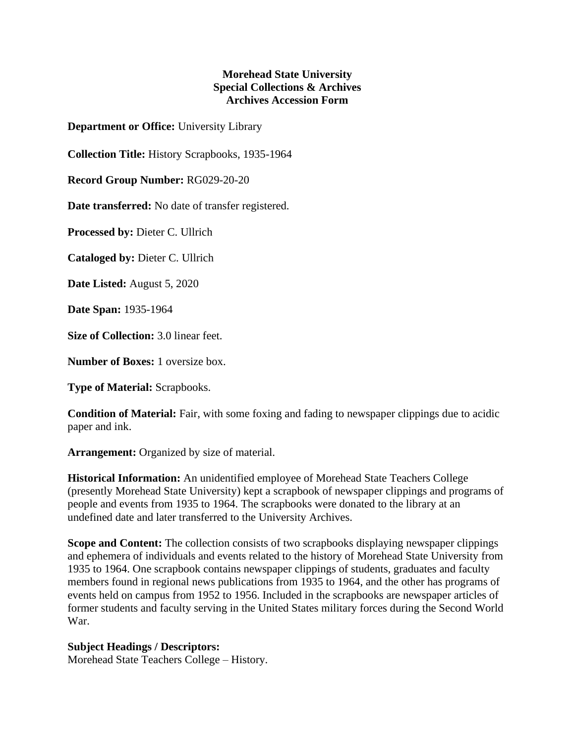## **Morehead State University Special Collections & Archives Archives Accession Form**

**Department or Office:** University Library

**Collection Title:** History Scrapbooks, 1935-1964

**Record Group Number:** RG029-20-20

**Date transferred:** No date of transfer registered.

**Processed by:** Dieter C. Ullrich

**Cataloged by:** Dieter C. Ullrich

**Date Listed:** August 5, 2020

**Date Span:** 1935-1964

**Size of Collection:** 3.0 linear feet.

**Number of Boxes:** 1 oversize box.

**Type of Material:** Scrapbooks.

**Condition of Material:** Fair, with some foxing and fading to newspaper clippings due to acidic paper and ink.

**Arrangement:** Organized by size of material.

**Historical Information:** An unidentified employee of Morehead State Teachers College (presently Morehead State University) kept a scrapbook of newspaper clippings and programs of people and events from 1935 to 1964. The scrapbooks were donated to the library at an undefined date and later transferred to the University Archives.

**Scope and Content:** The collection consists of two scrapbooks displaying newspaper clippings and ephemera of individuals and events related to the history of Morehead State University from 1935 to 1964. One scrapbook contains newspaper clippings of students, graduates and faculty members found in regional news publications from 1935 to 1964, and the other has programs of events held on campus from 1952 to 1956. Included in the scrapbooks are newspaper articles of former students and faculty serving in the United States military forces during the Second World War.

## **Subject Headings / Descriptors:**

Morehead State Teachers College – History.